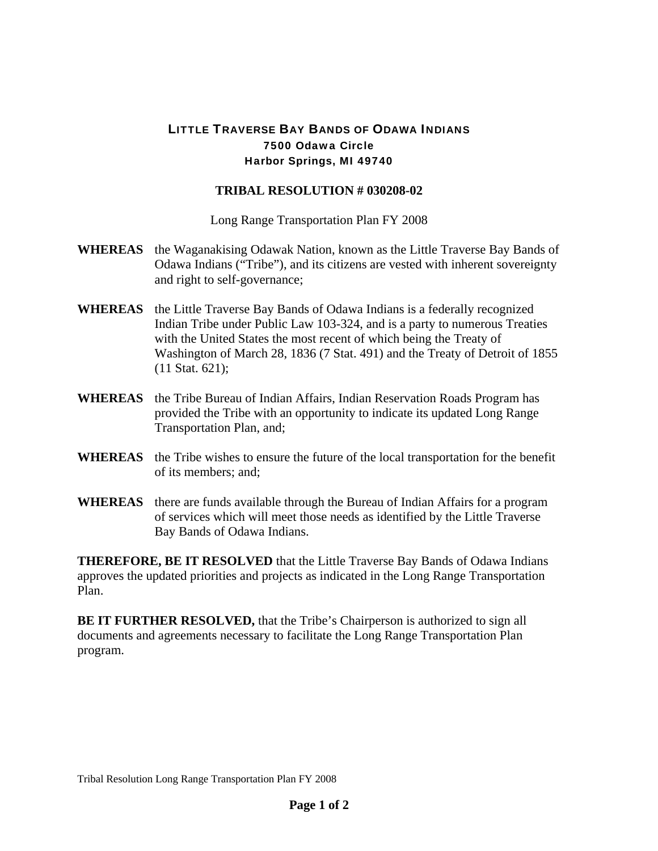## LITTLE TRAVERSE BAY BANDS OF ODAWA INDIANS 7500 Odawa Circle Harbor Springs, MI 49740

## **TRIBAL RESOLUTION # 030208-02**

Long Range Transportation Plan FY 2008

- **WHEREAS** the Waganakising Odawak Nation, known as the Little Traverse Bay Bands of Odawa Indians ("Tribe"), and its citizens are vested with inherent sovereignty and right to self-governance;
- **WHEREAS** the Little Traverse Bay Bands of Odawa Indians is a federally recognized Indian Tribe under Public Law 103-324, and is a party to numerous Treaties with the United States the most recent of which being the Treaty of Washington of March 28, 1836 (7 Stat. 491) and the Treaty of Detroit of 1855 (11 Stat. 621);
- **WHEREAS** the Tribe Bureau of Indian Affairs, Indian Reservation Roads Program has provided the Tribe with an opportunity to indicate its updated Long Range Transportation Plan, and;
- **WHEREAS** the Tribe wishes to ensure the future of the local transportation for the benefit of its members; and;
- **WHEREAS** there are funds available through the Bureau of Indian Affairs for a program of services which will meet those needs as identified by the Little Traverse Bay Bands of Odawa Indians.

**THEREFORE, BE IT RESOLVED** that the Little Traverse Bay Bands of Odawa Indians approves the updated priorities and projects as indicated in the Long Range Transportation Plan.

**BE IT FURTHER RESOLVED, that the Tribe's Chairperson is authorized to sign all** documents and agreements necessary to facilitate the Long Range Transportation Plan program.